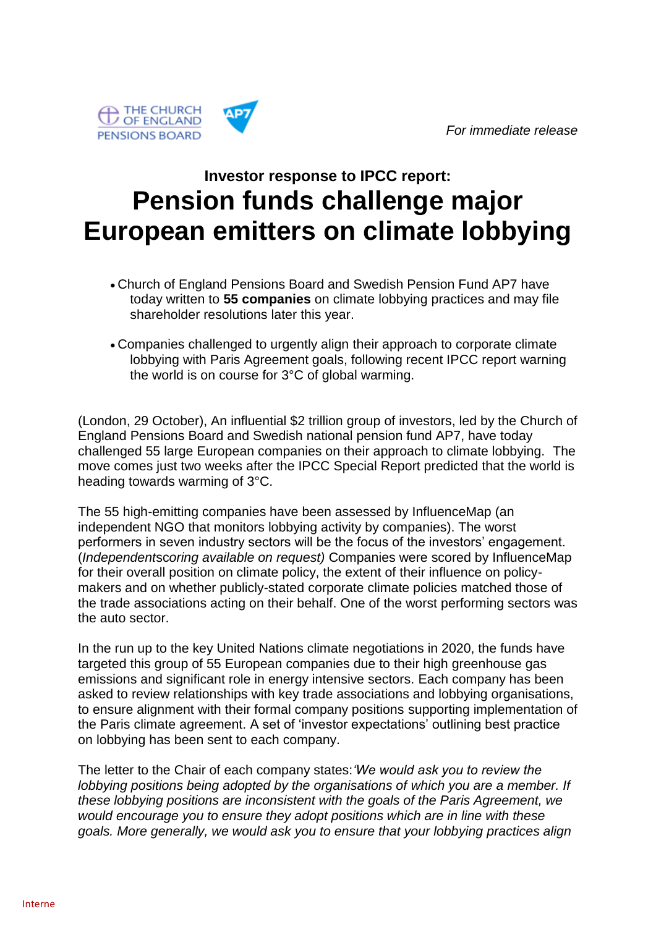

## **Investor response to IPCC report: Pension funds challenge major European emitters on climate lobbying**

- Church of England Pensions Board and Swedish Pension Fund AP7 have today written to **55 companies** on climate lobbying practices and may file shareholder resolutions later this year.
- Companies challenged to urgently align their approach to corporate climate lobbying with Paris Agreement goals, following recent IPCC report warning the world is on course for 3°C of global warming.

(London, 29 October), An influential \$2 trillion group of investors, led by the Church of England Pensions Board and Swedish national pension fund AP7, have today challenged 55 large European companies on their approach to climate lobbying. The move comes just two weeks after the IPCC Special Report predicted that the world is heading towards warming of 3°C.

The 55 high-emitting companies have been assessed by InfluenceMap (an independent NGO that monitors lobbying activity by companies). The worst performers in seven industry sectors will be the focus of the investors' engagement. (*Independent*sc*oring available on request)* Companies were scored by InfluenceMap for their overall position on climate policy, the extent of their influence on policymakers and on whether publicly-stated corporate climate policies matched those of the trade associations acting on their behalf. One of the worst performing sectors was the auto sector.

In the run up to the key United Nations climate negotiations in 2020, the funds have targeted this group of 55 European companies due to their high greenhouse gas emissions and significant role in energy intensive sectors. Each company has been asked to review relationships with key trade associations and lobbying organisations, to ensure alignment with their formal company positions supporting implementation of the Paris climate agreement. A set of 'investor expectations' outlining best practice on lobbying has been sent to each company.

The letter to the Chair of each company states:*'We would ask you to review the lobbying positions being adopted by the organisations of which you are a member. If these lobbying positions are inconsistent with the goals of the Paris Agreement, we would encourage you to ensure they adopt positions which are in line with these goals. More generally, we would ask you to ensure that your lobbying practices align*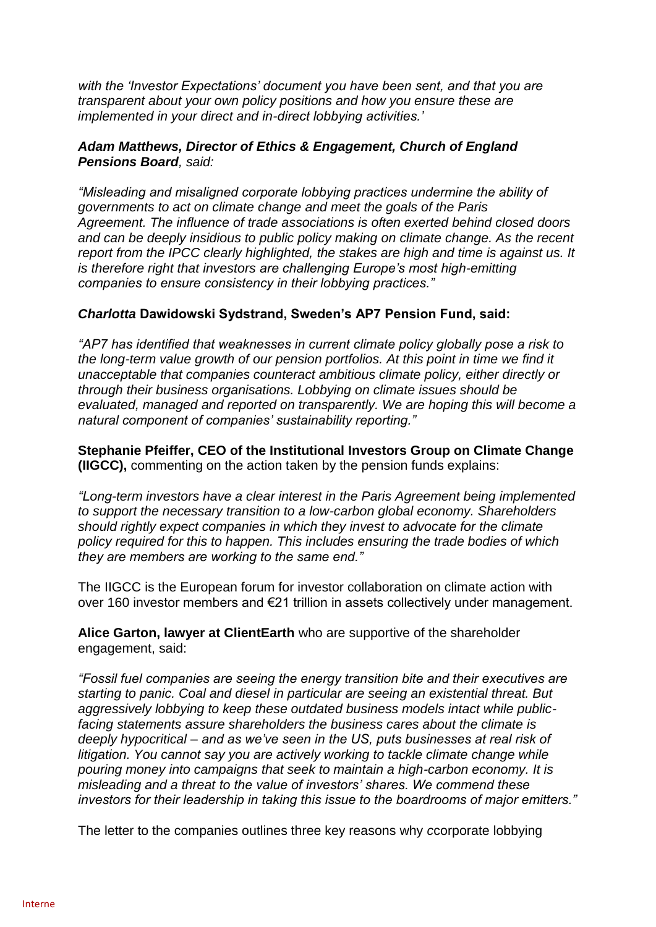*with the 'Investor Expectations' document you have been sent, and that you are transparent about your own policy positions and how you ensure these are implemented in your direct and in-direct lobbying activities.'*

## *Adam Matthews, Director of Ethics & Engagement, Church of England Pensions Board, said:*

*"Misleading and misaligned corporate lobbying practices undermine the ability of governments to act on climate change and meet the goals of the Paris Agreement. The influence of trade associations is often exerted behind closed doors and can be deeply insidious to public policy making on climate change. As the recent report from the IPCC clearly highlighted, the stakes are high and time is against us. It is therefore right that investors are challenging Europe's most high-emitting companies to ensure consistency in their lobbying practices."*

## *Charlotta* **Dawidowski Sydstrand, Sweden's AP7 Pension Fund, said:**

*"AP7 has identified that weaknesses in current climate policy globally pose a risk to the long-term value growth of our pension portfolios. At this point in time we find it unacceptable that companies counteract ambitious climate policy, either directly or through their business organisations. Lobbying on climate issues should be evaluated, managed and reported on transparently. We are hoping this will become a natural component of companies' sustainability reporting."* 

**Stephanie Pfeiffer, CEO of the Institutional Investors Group on Climate Change (IIGCC),** commenting on the action taken by the pension funds explains:

*"Long-term investors have a clear interest in the Paris Agreement being implemented to support the necessary transition to a low-carbon global economy. Shareholders should rightly expect companies in which they invest to advocate for the climate policy required for this to happen. This includes ensuring the trade bodies of which they are members are working to the same end."*

The IIGCC is the European forum for investor collaboration on climate action with over 160 investor members and €21 trillion in assets collectively under management.

**Alice Garton, lawyer at ClientEarth** who are supportive of the shareholder engagement, said:

*"Fossil fuel companies are seeing the energy transition bite and their executives are starting to panic. Coal and diesel in particular are seeing an existential threat. But aggressively lobbying to keep these outdated business models intact while publicfacing statements assure shareholders the business cares about the climate is deeply hypocritical – and as we've seen in the US, puts businesses at real risk of litigation. You cannot say you are actively working to tackle climate change while pouring money into campaigns that seek to maintain a high-carbon economy. It is misleading and a threat to the value of investors' shares. We commend these investors for their leadership in taking this issue to the boardrooms of major emitters."*

The letter to the companies outlines three key reasons why *c*corporate lobbying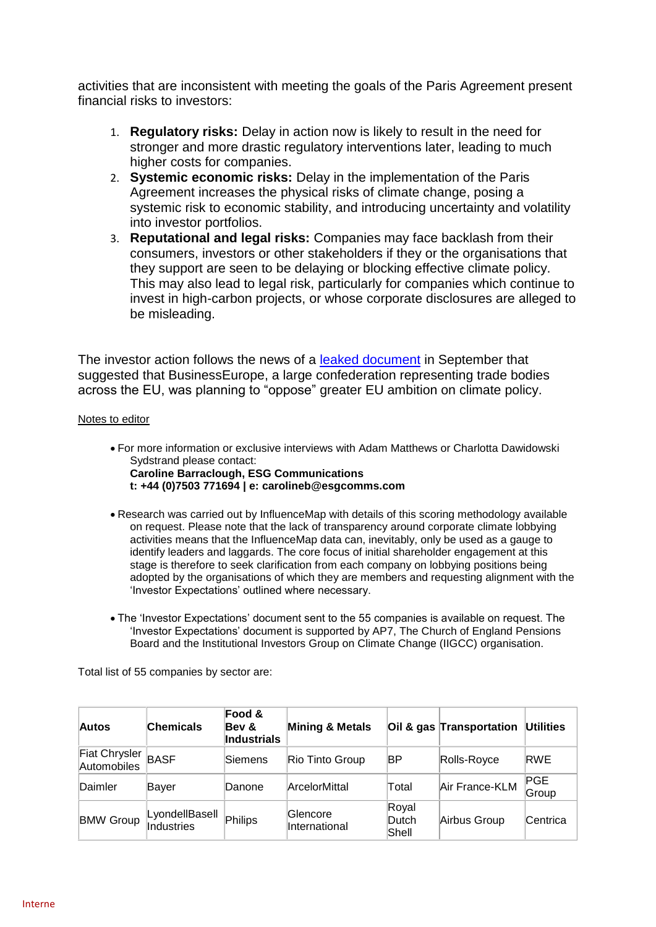activities that are inconsistent with meeting the goals of the Paris Agreement present financial risks to investors:

- 1. **Regulatory risks:** Delay in action now is likely to result in the need for stronger and more drastic regulatory interventions later, leading to much higher costs for companies.
- 2. **Systemic economic risks:** Delay in the implementation of the Paris Agreement increases the physical risks of climate change, posing a systemic risk to economic stability, and introducing uncertainty and volatility into investor portfolios.
- 3. **Reputational and legal risks:** Companies may face backlash from their consumers, investors or other stakeholders if they or the organisations that they support are seen to be delaying or blocking effective climate policy. This may also lead to legal risk, particularly for companies which continue to invest in high-carbon projects, or whose corporate disclosures are alleged to be misleading.

The investor action follows the news of a [leaked document](http://cts.vresp.com/c/?ESGCommunications/a37aade772/5d5da462da/93bf1ab8ac) in September that suggested that BusinessEurope, a large confederation representing trade bodies across the EU, was planning to "oppose" greater EU ambition on climate policy.

## Notes to editor

- For more information or exclusive interviews with Adam Matthews or Charlotta Dawidowski Sydstrand please contact:
	- **Caroline Barraclough, ESG Communications t: +44 (0)7503 771694 | e: [carolineb@esgcomms.com](mailto:carolineb@esgcomms.com)**
- Research was carried out by InfluenceMap with details of this scoring methodology available on request. Please note that the lack of transparency around corporate climate lobbying activities means that the InfluenceMap data can, inevitably, only be used as a gauge to identify leaders and laggards. The core focus of initial shareholder engagement at this stage is therefore to seek clarification from each company on lobbying positions being adopted by the organisations of which they are members and requesting alignment with the 'Investor Expectations' outlined where necessary.
- The 'Investor Expectations' document sent to the 55 companies is available on request. The 'Investor Expectations' document is supported by AP7, The Church of England Pensions Board and the Institutional Investors Group on Climate Change (IIGCC) organisation.

Total list of 55 companies by sector are:

| <b>Autos</b>                      | <b>Chemicals</b>             | Food &<br>Bev &<br><b>Industrials</b> | <b>Mining &amp; Metals</b> |                         | Oil & gas Transportation | <b>Utilities</b> |
|-----------------------------------|------------------------------|---------------------------------------|----------------------------|-------------------------|--------------------------|------------------|
| Fiat Chrysler<br>Automobiles BASF |                              | Siemens                               | Rio Tinto Group            | ΒP                      | Rolls-Royce              | RWE              |
| Daimler                           | Bayer                        | Danone                                | <b>ArcelorMittal</b>       | Total                   | Air France-KLM           | PGE<br>Group     |
| <b>BMW Group</b>                  | LyondellBasell<br>Industries | Philips                               | Glencore<br>International  | Royal<br>Dutch<br>Shell | Airbus Group             | Centrica         |